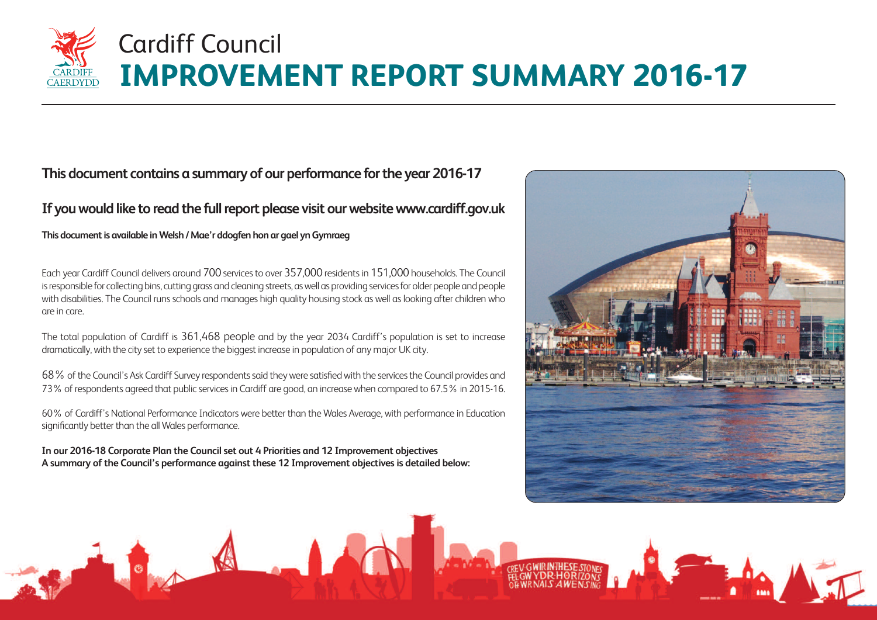### **This document contains a summary of our performance forthe year 2016-17**

### If you would like to read the full report please visit our website www.cardiff.gov.uk

**This** document is available in Welsh / Mae'r ddogfen hon ar gael yn Gymraeg

Each year Cardiff Council delivers around 700 services to over 357,000 residents in 151,000 households. The Council is responsible for collecting bins, cutting grass and cleaning streets, as well as providing services for older people and people with disabilities. The Council runs schools and manages high quality housing stock as well as looking after children who are in care.

The total population of Cardiff is 361,468 people and by the year 2034 Cardiff's population is set to increase dramatically, with the city set to experience the biggest increase in population of any major UK city.

68% of the Council's Ask Cardiff Survey respondents said they were satisfied with the services the Council provides and 73% of respondents agreed that public services in Cardiff are good, an increase when compared to 67.5% in 2015-16.

60% of Cardiff's National Performance Indicators were better than the Wales Average, with performance in Education significantly better than the all Wales performance.

**In our 2016-18 Corporate Plan the Council set out 4 Priorities and 12 Improvement objectives A summary of the Council's performance against these 12 Improvement objectives is detailed below:**









### **IMPROVEMENT REPORT SUMMARY 2016-17** Cardiff Council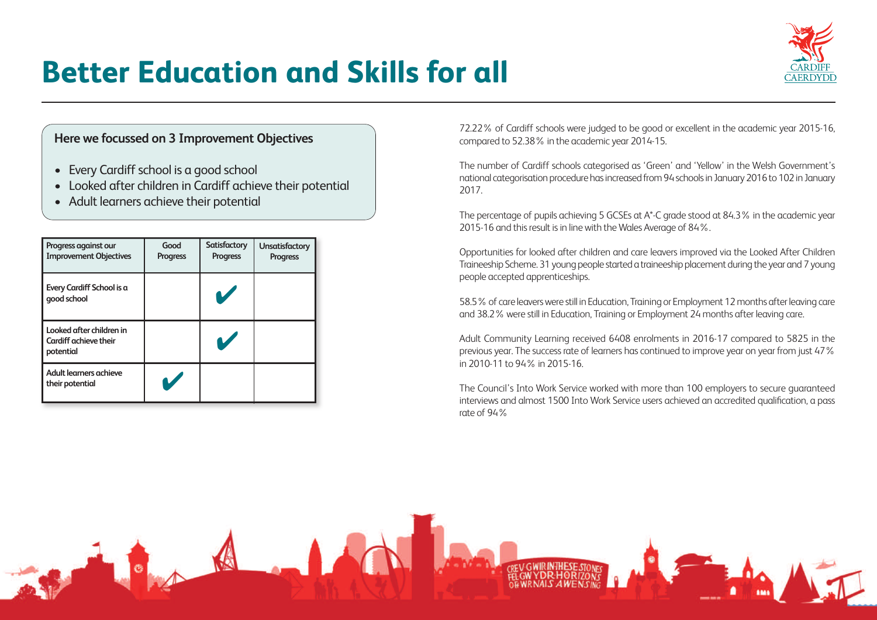| Progress against our<br><b>Improvement Objectives</b>                 | Good<br><b>Progress</b> | <b>Satisfactory</b><br><b>Progress</b> | <b>Unsatisfactory</b><br><b>Progress</b> |
|-----------------------------------------------------------------------|-------------------------|----------------------------------------|------------------------------------------|
| Every Cardiff School is a<br>good school                              |                         |                                        |                                          |
| Looked after children in<br><b>Cardiff achieve their</b><br>potential |                         |                                        |                                          |
| Adult learners achieve<br>their potential                             |                         |                                        |                                          |

- Every Cardiff school is a good school
- Looked after children in Cardiff achieve their potential
- Adult learners achieve their potential

The percentage of pupils achieving 5 GCSEs at A\*-C grade stood at 84.3% in the academic year 2015-16 and this result is in line with the Wales Average of 84%.

### **Better Education and Skills for all**

72.22% of Cardiff schools were judged to be good or excellent in the academic year 2015-16, compared to 52.38% in the academic year 2014-15.

58.5% of care leavers were still in Education, Training or Employment 12 months after leaving care and 38.2% were still in Education, Training or Employment 24 months after leaving care.

The number of Cardiff schools categorised as 'Green' and 'Yellow' in the Welsh Government's national categorisation procedure has increased from 94 schools in January 2016 to 102 in January 2017.

Opportunities for looked after children and care leavers improved via the Looked After Children Traineeship Scheme. 31 young people started a traineeship placement during the year and 7 young people accepted apprenticeships.

Adult Community Learning received 6408 enrolments in 2016-17 compared to 5825 in the previous year. The success rate of learners has continued to improve year on year from just 47% in 2010-11 to 94% in 2015-16.

The Council's Into Work Service worked with more than 100 employers to secure guaranteed interviews and almost 1500 Into Work Service users achieved an accredited qualification, a pass rate of 94%



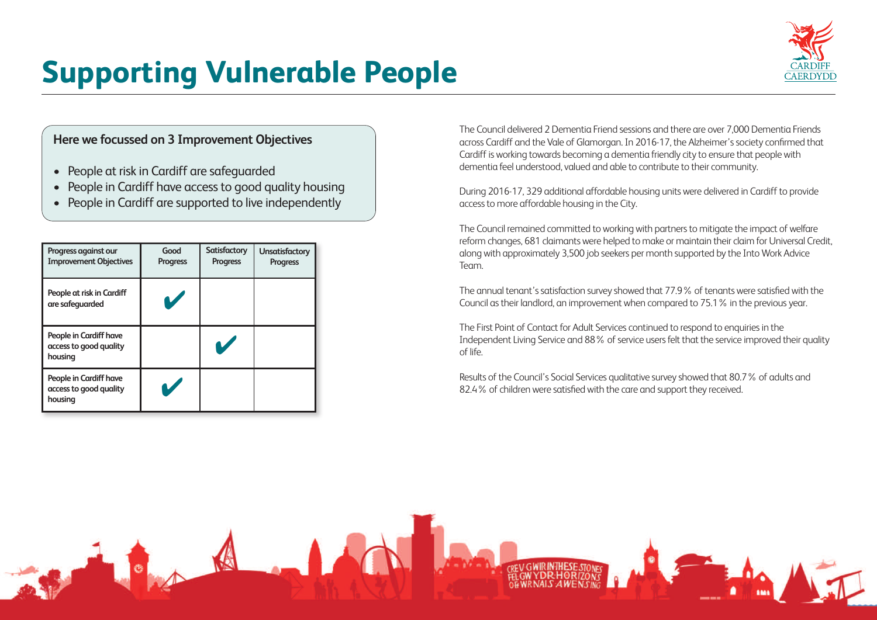- People at risk in Cardiff are safeguarded
- People in Cardiff have access to good quality housing
- People in Cardiff are supported to live independently

| Progress against our<br><b>Improvement Objectives</b>       | Good<br><b>Progress</b> | <b>Satisfactory</b><br><b>Progress</b> | <b>Unsatisfactory</b><br><b>Progress</b> |
|-------------------------------------------------------------|-------------------------|----------------------------------------|------------------------------------------|
| People at risk in Cardiff<br>are safeguarded                |                         |                                        |                                          |
| People in Cardiff have<br>access to good quality<br>housing |                         |                                        |                                          |
| People in Cardiff have<br>access to good quality<br>housing |                         |                                        |                                          |

# **Supporting Vulnerable People**

During 2016-17, 329 additional affordable housing units were delivered in Cardiff to provide accessto more affordable housing in the City.

The Council delivered 2 Dementia Friend sessions and there are over 7,000 Dementia Friends across Cardiff and the Vale of Glamorgan.In 2016-17, the Alzheimer'ssociety confirmed that Cardiff is working towards becoming a dementia friendly city to ensure that people with dementia feel understood, valued and able to contribute to their community.

The annual tenant's satisfaction survey showed that 77.9% of tenants were satisfied with the Council astheir landlord, an improvement when compared to 75.1% in the previous year.

The First Point of Contact for Adult Services continued to respond to enquiries in the Independent Living Service and 88% of service users felt that the service improved their quality of life.

Results of the Council's Social Services qualitative survey showed that 80.7% of adults and 82.4% of children were satisfied with the care and support they received.





The Council remained committed to working with partnersto mitigate the impact of welfare reform changes, 681 claimants were helped to make or maintain their claim for Universal Credit, along with approximately 3,500 job seekers per month supported by the Into Work Advice Team.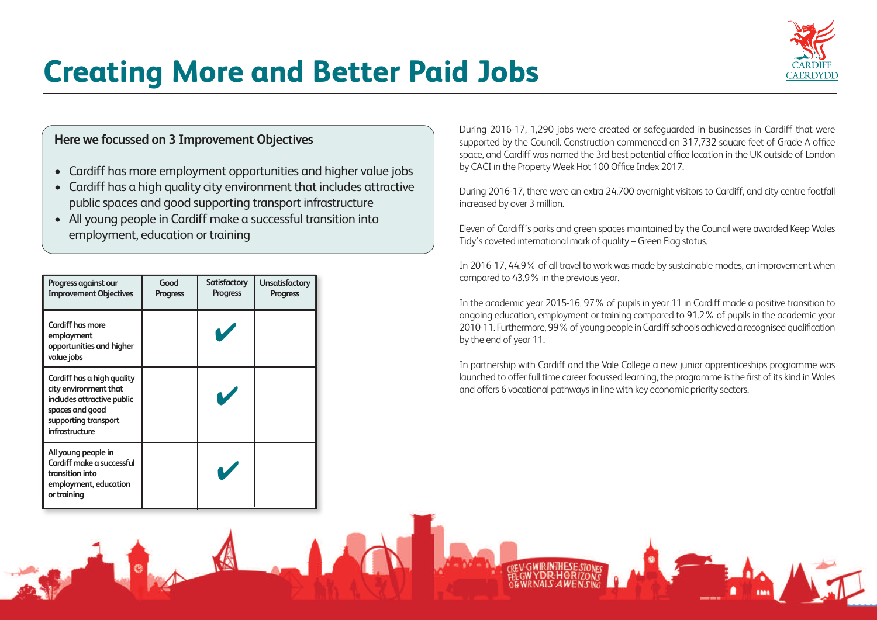- Cardiff has more employment opportunities and higher value jobs
- Cardiff has a high quality city environment that includes attractive public spaces and good supporting transport infrastructure
- All young people in Cardiff make a successful transition into employment, education or training

During 2016-17, 1,290 jobs were created or safeguarded in businesses in Cardiff that were supported by the Council. Construction commenced on 317,732 square feet of Grade A office space, and Cardiff was named the 3rd best potential office location in the UK outside of London by CACI in the Property Week Hot 100 Office Index 2017.

# **Creating More and Better Paid Jobs**

In partnership with Cardiff and the Vale College a new junior apprenticeships programme was launched to offer full time career focussed learning, the programme is the first of its kind in Wales and offers 6 vocational pathways in line with key economic priority sectors.





During 2016-17, there were an extra 24,700 overnight visitors to Cardiff, and city centre footfall increased by over 3 million.

| Progress against our<br><b>Improvement Objectives</b>                                                                                                 | Good<br><b>Progress</b> | Satisfactory<br><b>Progress</b> | <b>Unsatisfactory</b><br><b>Progress</b> |
|-------------------------------------------------------------------------------------------------------------------------------------------------------|-------------------------|---------------------------------|------------------------------------------|
| <b>Cardiff has more</b><br>employment<br>opportunities and higher<br>value jobs                                                                       |                         |                                 |                                          |
| Cardiff has a high quality<br>city environment that<br>includes attractive public<br>spaces and good<br>supporting transport<br><b>infrastructure</b> |                         |                                 |                                          |
| All young people in<br>Cardiff make a successful<br>transition into<br>employment, education<br>or training                                           |                         |                                 |                                          |

Eleven of Cardiff's parks and green spaces maintained by the Council were awarded Keep Wales Tidy's coveted international mark of quality – Green Flag status.

In 2016-17, 44.9% of all travel to work was made by sustainable modes, an improvement when compared to 43.9% in the previous year.

In the academic year 2015-16, 97% of pupils in year 11 in Cardiff made a positive transition to ongoing education, employment or training compared to 91.2% of pupils in the academic year 2010-11. Furthermore, 99% of young people in Cardiff schools achieved a recognised qualification by the end of year 11.